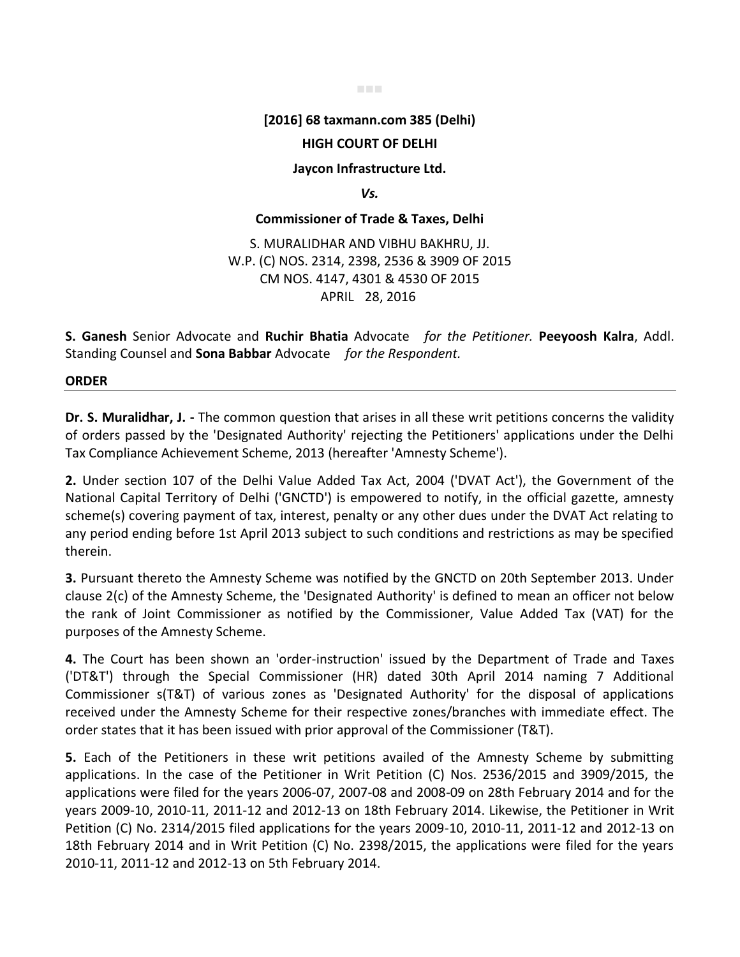#### ■■■

## **[2016] 68 taxmann.com 385 (Delhi)**

### **HIGH COURT OF DELHI**

#### **Jaycon Infrastructure Ltd.**

*Vs.* 

### **Commissioner of Trade & Taxes, Delhi**

S. MURALIDHAR AND VIBHU BAKHRU, JJ. W.P. (C) NOS. 2314, 2398, 2536 & 3909 OF 2015 CM NOS. 4147, 4301 & 4530 OF 2015 APRIL 28, 2016

**S. Ganesh** Senior Advocate and **Ruchir Bhatia** Advocate *for the Petitioner.* **Peeyoosh Kalra**, Addl. Standing Counsel and **Sona Babbar** Advocate *for the Respondent.*

**ORDER** 

**Dr. S. Muralidhar, J. -** The common question that arises in all these writ petitions concerns the validity of orders passed by the 'Designated Authority' rejecting the Petitioners' applications under the Delhi Tax Compliance Achievement Scheme, 2013 (hereafter 'Amnesty Scheme').

**2.** Under section 107 of the Delhi Value Added Tax Act, 2004 ('DVAT Act'), the Government of the National Capital Territory of Delhi ('GNCTD') is empowered to notify, in the official gazette, amnesty scheme(s) covering payment of tax, interest, penalty or any other dues under the DVAT Act relating to any period ending before 1st April 2013 subject to such conditions and restrictions as may be specified therein.

**3.** Pursuant thereto the Amnesty Scheme was notified by the GNCTD on 20th September 2013. Under clause 2(c) of the Amnesty Scheme, the 'Designated Authority' is defined to mean an officer not below the rank of Joint Commissioner as notified by the Commissioner, Value Added Tax (VAT) for the purposes of the Amnesty Scheme.

**4.** The Court has been shown an 'order-instruction' issued by the Department of Trade and Taxes ('DT&T') through the Special Commissioner (HR) dated 30th April 2014 naming 7 Additional Commissioner s(T&T) of various zones as 'Designated Authority' for the disposal of applications received under the Amnesty Scheme for their respective zones/branches with immediate effect. The order states that it has been issued with prior approval of the Commissioner (T&T).

**5.** Each of the Petitioners in these writ petitions availed of the Amnesty Scheme by submitting applications. In the case of the Petitioner in Writ Petition (C) Nos. 2536/2015 and 3909/2015, the applications were filed for the years 2006-07, 2007-08 and 2008-09 on 28th February 2014 and for the years 2009-10, 2010-11, 2011-12 and 2012-13 on 18th February 2014. Likewise, the Petitioner in Writ Petition (C) No. 2314/2015 filed applications for the years 2009-10, 2010-11, 2011-12 and 2012-13 on 18th February 2014 and in Writ Petition (C) No. 2398/2015, the applications were filed for the years 2010-11, 2011-12 and 2012-13 on 5th February 2014.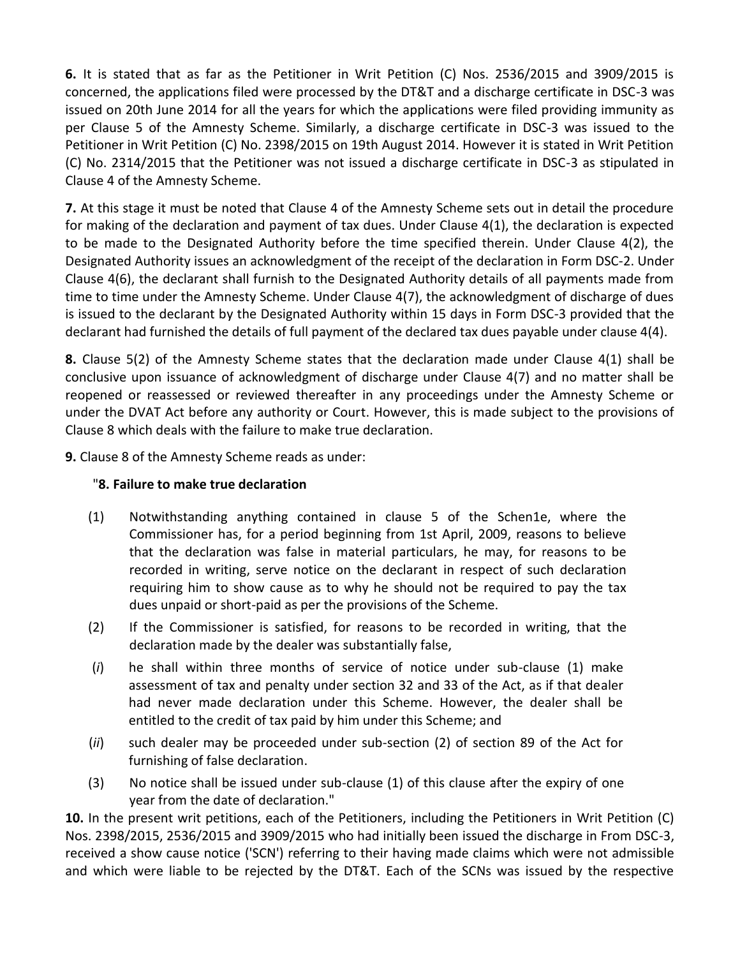**6.** It is stated that as far as the Petitioner in Writ Petition (C) Nos. 2536/2015 and 3909/2015 is concerned, the applications filed were processed by the DT&T and a discharge certificate in DSC-3 was issued on 20th June 2014 for all the years for which the applications were filed providing immunity as per Clause 5 of the Amnesty Scheme. Similarly, a discharge certificate in DSC-3 was issued to the Petitioner in Writ Petition (C) No. 2398/2015 on 19th August 2014. However it is stated in Writ Petition (C) No. 2314/2015 that the Petitioner was not issued a discharge certificate in DSC-3 as stipulated in Clause 4 of the Amnesty Scheme.

**7.** At this stage it must be noted that Clause 4 of the Amnesty Scheme sets out in detail the procedure for making of the declaration and payment of tax dues. Under Clause 4(1), the declaration is expected to be made to the Designated Authority before the time specified therein. Under Clause 4(2), the Designated Authority issues an acknowledgment of the receipt of the declaration in Form DSC-2. Under Clause 4(6), the declarant shall furnish to the Designated Authority details of all payments made from time to time under the Amnesty Scheme. Under Clause 4(7), the acknowledgment of discharge of dues is issued to the declarant by the Designated Authority within 15 days in Form DSC-3 provided that the declarant had furnished the details of full payment of the declared tax dues payable under clause 4(4).

**8.** Clause 5(2) of the Amnesty Scheme states that the declaration made under Clause 4(1) shall be conclusive upon issuance of acknowledgment of discharge under Clause 4(7) and no matter shall be reopened or reassessed or reviewed thereafter in any proceedings under the Amnesty Scheme or under the DVAT Act before any authority or Court. However, this is made subject to the provisions of Clause 8 which deals with the failure to make true declaration.

**9.** Clause 8 of the Amnesty Scheme reads as under:

# "**8. Failure to make true declaration**

- (1) Notwithstanding anything contained in clause 5 of the Schen1e, where the Commissioner has, for a period beginning from 1st April, 2009, reasons to believe that the declaration was false in material particulars, he may, for reasons to be recorded in writing, serve notice on the declarant in respect of such declaration requiring him to show cause as to why he should not be required to pay the tax dues unpaid or short-paid as per the provisions of the Scheme.
- (2) If the Commissioner is satisfied, for reasons to be recorded in writing, that the declaration made by the dealer was substantially false,
- (*i*) he shall within three months of service of notice under sub-clause (1) make assessment of tax and penalty under section 32 and 33 of the Act, as if that dealer had never made declaration under this Scheme. However, the dealer shall be entitled to the credit of tax paid by him under this Scheme; and
- (*ii*) such dealer may be proceeded under sub-section (2) of section 89 of the Act for furnishing of false declaration.
- (3) No notice shall be issued under sub-clause (1) of this clause after the expiry of one year from the date of declaration."

**10.** In the present writ petitions, each of the Petitioners, including the Petitioners in Writ Petition (C) Nos. 2398/2015, 2536/2015 and 3909/2015 who had initially been issued the discharge in From DSC-3, received a show cause notice ('SCN') referring to their having made claims which were not admissible and which were liable to be rejected by the DT&T. Each of the SCNs was issued by the respective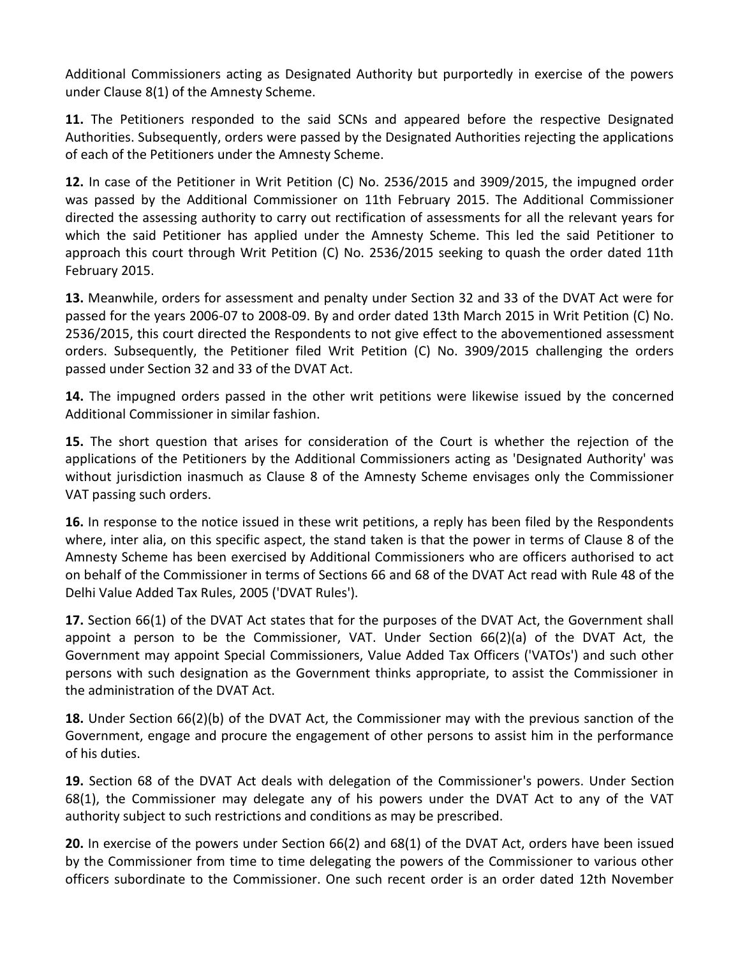Additional Commissioners acting as Designated Authority but purportedly in exercise of the powers under Clause 8(1) of the Amnesty Scheme.

**11.** The Petitioners responded to the said SCNs and appeared before the respective Designated Authorities. Subsequently, orders were passed by the Designated Authorities rejecting the applications of each of the Petitioners under the Amnesty Scheme.

**12.** In case of the Petitioner in Writ Petition (C) No. 2536/2015 and 3909/2015, the impugned order was passed by the Additional Commissioner on 11th February 2015. The Additional Commissioner directed the assessing authority to carry out rectification of assessments for all the relevant years for which the said Petitioner has applied under the Amnesty Scheme. This led the said Petitioner to approach this court through Writ Petition (C) No. 2536/2015 seeking to quash the order dated 11th February 2015.

**13.** Meanwhile, orders for assessment and penalty under Section 32 and 33 of the DVAT Act were for passed for the years 2006-07 to 2008-09. By and order dated 13th March 2015 in Writ Petition (C) No. 2536/2015, this court directed the Respondents to not give effect to the abovementioned assessment orders. Subsequently, the Petitioner filed Writ Petition (C) No. 3909/2015 challenging the orders passed under Section 32 and 33 of the DVAT Act.

**14.** The impugned orders passed in the other writ petitions were likewise issued by the concerned Additional Commissioner in similar fashion.

**15.** The short question that arises for consideration of the Court is whether the rejection of the applications of the Petitioners by the Additional Commissioners acting as 'Designated Authority' was without jurisdiction inasmuch as Clause 8 of the Amnesty Scheme envisages only the Commissioner VAT passing such orders.

**16.** In response to the notice issued in these writ petitions, a reply has been filed by the Respondents where, inter alia, on this specific aspect, the stand taken is that the power in terms of Clause 8 of the Amnesty Scheme has been exercised by Additional Commissioners who are officers authorised to act on behalf of the Commissioner in terms of Sections 66 and 68 of the DVAT Act read with Rule 48 of the Delhi Value Added Tax Rules, 2005 ('DVAT Rules').

**17.** Section 66(1) of the DVAT Act states that for the purposes of the DVAT Act, the Government shall appoint a person to be the Commissioner, VAT. Under Section 66(2)(a) of the DVAT Act, the Government may appoint Special Commissioners, Value Added Tax Officers ('VATOs') and such other persons with such designation as the Government thinks appropriate, to assist the Commissioner in the administration of the DVAT Act.

**18.** Under Section 66(2)(b) of the DVAT Act, the Commissioner may with the previous sanction of the Government, engage and procure the engagement of other persons to assist him in the performance of his duties.

**19.** Section 68 of the DVAT Act deals with delegation of the Commissioner's powers. Under Section 68(1), the Commissioner may delegate any of his powers under the DVAT Act to any of the VAT authority subject to such restrictions and conditions as may be prescribed.

**20.** In exercise of the powers under Section 66(2) and 68(1) of the DVAT Act, orders have been issued by the Commissioner from time to time delegating the powers of the Commissioner to various other officers subordinate to the Commissioner. One such recent order is an order dated 12th November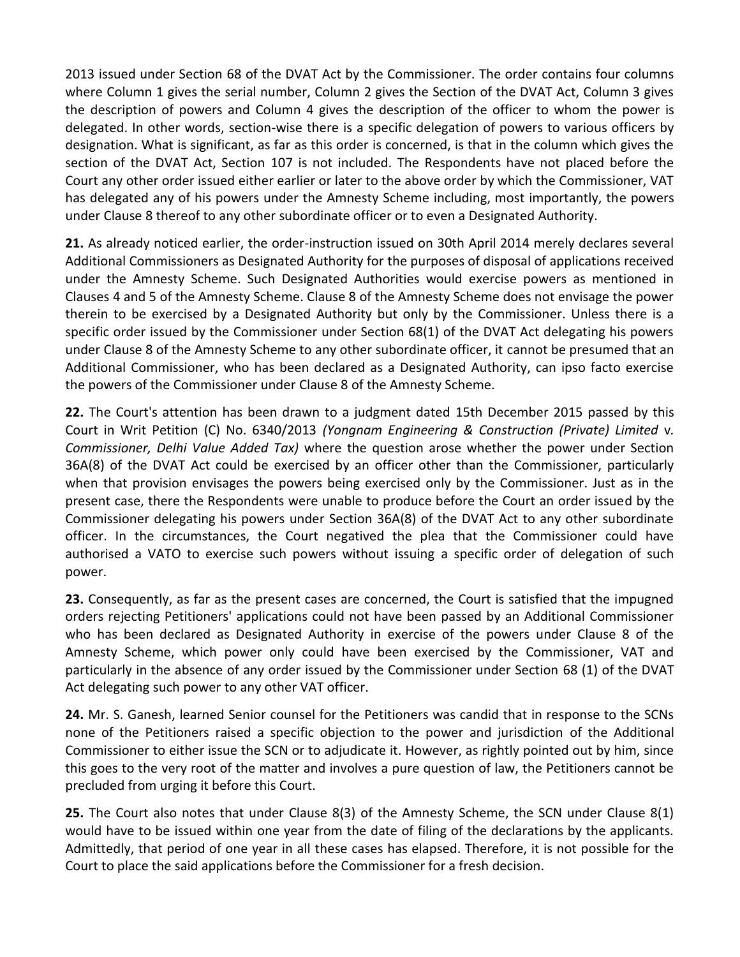2013 issued under Section 68 of the DVAT Act by the Commissioner. The order contains four columns where Column 1 gives the serial number, Column 2 gives the Section of the DVAT Act, Column 3 gives the description of powers and Column 4 gives the description of the officer to whom the power is delegated. In other words, section-wise there is a specific delegation of powers to various officers by designation. What is significant, as far as this order is concerned, is that in the column which gives the section of the DVAT Act, Section 107 is not included. The Respondents have not placed before the Court any other order issued either earlier or later to the above order by which the Commissioner, VAT has delegated any of his powers under the Amnesty Scheme including, most importantly, the powers under Clause 8 thereof to any other subordinate officer or to even a Designated Authority.

**21.** As already noticed earlier, the order-instruction issued on 30th April 2014 merely declares several Additional Commissioners as Designated Authority for the purposes of disposal of applications received under the Amnesty Scheme. Such Designated Authorities would exercise powers as mentioned in Clauses 4 and 5 of the Amnesty Scheme. Clause 8 of the Amnesty Scheme does not envisage the power therein to be exercised by a Designated Authority but only by the Commissioner. Unless there is a specific order issued by the Commissioner under Section 68(1) of the DVAT Act delegating his powers under Clause 8 of the Amnesty Scheme to any other subordinate officer, it cannot be presumed that an Additional Commissioner, who has been declared as a Designated Authority, can ipso facto exercise the powers of the Commissioner under Clause 8 of the Amnesty Scheme.

**22.** The Court's attention has been drawn to a judgment dated 15th December 2015 passed by this Court in Writ Petition (C) No. 6340/2013 *(Yongnam Engineering & Construction (Private) Limited* v*. Commissioner, Delhi Value Added Tax)* where the question arose whether the power under Section 36A(8) of the DVAT Act could be exercised by an officer other than the Commissioner, particularly when that provision envisages the powers being exercised only by the Commissioner. Just as in the present case, there the Respondents were unable to produce before the Court an order issued by the Commissioner delegating his powers under Section 36A(8) of the DVAT Act to any other subordinate officer. In the circumstances, the Court negatived the plea that the Commissioner could have authorised a VATO to exercise such powers without issuing a specific order of delegation of such power.

**23.** Consequently, as far as the present cases are concerned, the Court is satisfied that the impugned orders rejecting Petitioners' applications could not have been passed by an Additional Commissioner who has been declared as Designated Authority in exercise of the powers under Clause 8 of the Amnesty Scheme, which power only could have been exercised by the Commissioner, VAT and particularly in the absence of any order issued by the Commissioner under Section 68 (1) of the DVAT Act delegating such power to any other VAT officer.

**24.** Mr. S. Ganesh, learned Senior counsel for the Petitioners was candid that in response to the SCNs none of the Petitioners raised a specific objection to the power and jurisdiction of the Additional Commissioner to either issue the SCN or to adjudicate it. However, as rightly pointed out by him, since this goes to the very root of the matter and involves a pure question of law, the Petitioners cannot be precluded from urging it before this Court.

**25.** The Court also notes that under Clause 8(3) of the Amnesty Scheme, the SCN under Clause 8(1) would have to be issued within one year from the date of filing of the declarations by the applicants. Admittedly, that period of one year in all these cases has elapsed. Therefore, it is not possible for the Court to place the said applications before the Commissioner for a fresh decision.